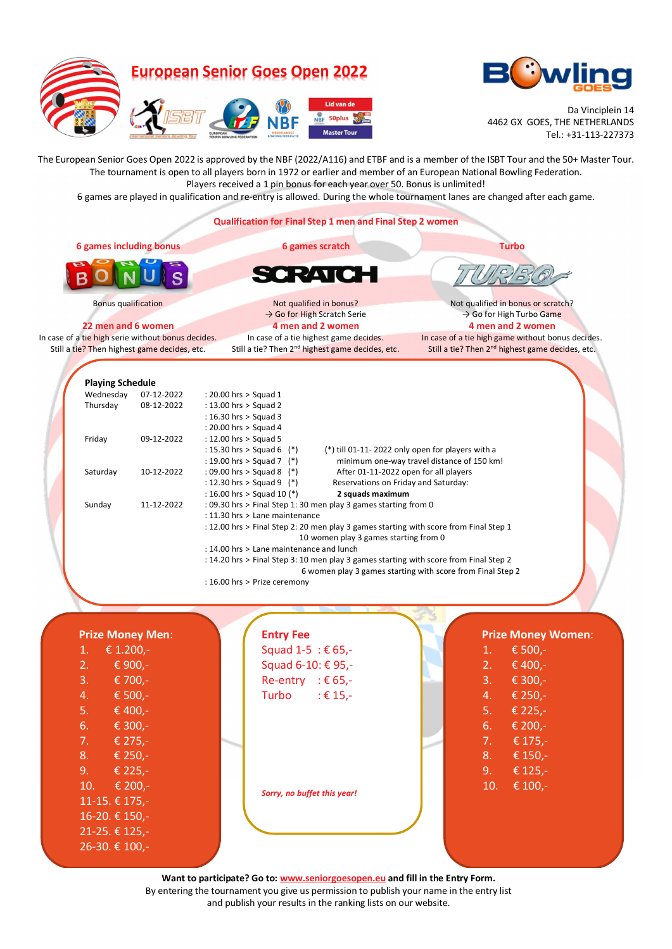



Da Vinciplein 14 4462 GX GOES, THE NETHERLANDS Tel.: +31-113-227373

The European Senior Goes Open 2022 is approved by the NBF (2022/A116) and ETBF and is a member of the ISBT Tour and the 50+ Master Tour. The tournament is open to all players born in 1972 or earlier and member of an European National Bowling Federation. Players received a 1 pin bonus for each year over 50. Bonus is unlimited!

6 games are played in qualification and re-entry is allowed. During the whole tournament lanes are changed after each game.

**Qualification for Final Step 1 men and Final Step 2 women 6 games including bonus 6 games scratch Turbo** RATIC  $\mathbf{C}$ Bonus qualification Not qualified in bonus? Not qualified in bonus or scratch? → Go for High Turbo Game → Go for High Scratch Serie **22 men and 6 women 4 men and 2 women 4 men and 2 women** In case of a tie high serie without bonus decides. In case of a tie highest game decides. In case of a tie high game without bonus decides. Still a tie? Then highest game decides, etc. Still a tie? Then 2<sup>nd</sup> highest game decides, etc. Still a tie? Then 2<sup>nd</sup> highest game decides, etc. **Playing Schedule**  Wednesday 07-12-2022 : 20.00 hrs > Squad 1<br>Thursday 08-12-2022 : 13.00 hrs > Squad 2 Thursday 08-12-2022 : 13.00 hrs > Squad 2 : 16.30 hrs > Squad 3 : 20.00 hrs > Squad 4 Friday 09-12-2022 : 12.00 hrs > Squad 5<br>
: 15.30 hrs > Squad 6 (\*) (\*) till 01-11- 2022 only open for players with a : 19.00 hrs > Squad 7 (\*) minimum one-way travel distance of 150 km! Saturday 10-12-2022 : 09.00 hrs > Squad 8 (\*) After 01-11-2022 open for all players : 12.30 hrs > Squad 9 (\*) Reservations on Friday and Saturday: : 16.00 hrs > Squad 10 (\*) **2 squads maximum** Sunday 11-12-2022 : 09.30 hrs > Final Step 1: 30 men play 3 games starting from 0 : 11.30 hrs > Lane maintenance : 12.00 hrs > Final Step 2: 20 men play 3 games starting with score from Final Step 1 10 women play 3 games starting from 0 : 14.00 hrs > Lane maintenance and lunch : 14.20 hrs > Final Step 3: 10 men play 3 games starting with score from Final Step 2 6 women play 3 games starting with score from Final Step 2 : 16.00 hrs > Prize ceremony  **Prize Money Men**: **Entry Fee Prize Money Women**: 1. € 1.200,- Squad 1-5 : € 65,- 1. € 500,- 2. € 900,- Squad 6-10: € 95,- 2. € 400,- 3. € 700,- Re-entry :  $€ 65,-$ 3. € 300,- 4. € 500,- Turbo :  $\epsilon$  15,-4. € 250,- 5. € 400,- 5. € 225,- 6. € 300,- 6. € 200,- 7. € 275,- 7. € 175,- 8. € 250,- 8. € 150,- 9. € 225,- 9. € 125,- 10. € 200,- 10. € 100,- *Sorry, no buffet this year!*  11-15. € 175,- 16-20. € 150,- 21-25. € 125,- 26-30. € 100,-

> **Want to participate? Go to: www.seniorgoesopen.eu and fill in the Entry Form.**  By entering the tournament you give us permission to publish your name in the entry list

> > and publish your results in the ranking lists on our website.